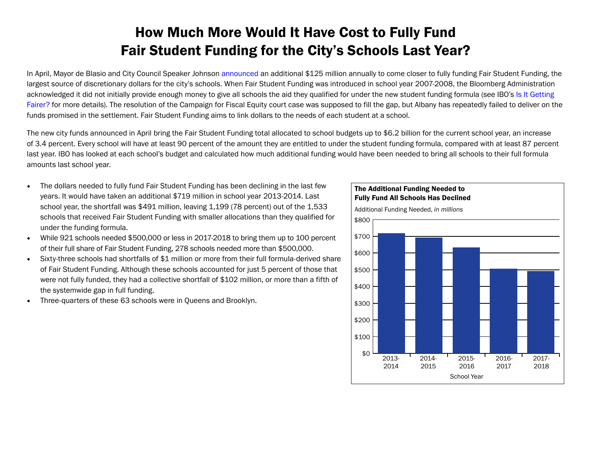## How Much More Would It Have Cost to Fully Fund Fair Student Funding for the City's Schools Last Year?

In April, Mayor de Blasio and City Council Speaker Johnson [announced](https://www1.nyc.gov/office-of-the-mayor/news/217-18/mayor-de-blasio-speaker-johnson-125-million-investment-ensure-all-schools-receive/#/0) an additional \$125 million annually to come closer to fully funding Fair Student Funding, the largest source of discretionary dollars for the city's schools. When Fair Student Funding was introduced in school year 2007-2008, the Bloomberg Administration acknowledged it did not initially provide enough money to give all schools the aid they qualified for under the new student funding formula (see IBO's Is It Getting [Fairer?](http://bit.ly/XsadFc) for more details). The resolution of the Campaign for Fiscal Equity court case was supposed to fill the gap, but Albany has repeatedly failed to deliver on the funds promised in the settlement. Fair Student Funding aims to link dollars to the needs of each student at a school.

The new city funds announced in April bring the Fair Student Funding total allocated to school budgets up to \$6.2 billion for the current school year, an increase of 3.4 percent. Every school will have at least 90 percent of the amount they are entitled to under the student funding formula, compared with at least 87 percent last year. IBO has looked at each school's budget and calculated how much additional funding would have been needed to bring all schools to their full formula amounts last school year.

- The dollars needed to fully fund Fair Student Funding has been declining in the last few years. It would have taken an additional \$719 million in school year 2013-2014. Last school year, the shortfall was \$491 million, leaving 1,199 (78 percent) out of the 1,533 schools that received Fair Student Funding with smaller allocations than they qualified for under the funding formula.
- While 921 schools needed \$500,000 or less in 2017-2018 to bring them up to 100 percent of their full share of Fair Student Funding, 278 schools needed more than \$500,000.
- Sixty-three schools had shortfalls of \$1 million or more from their full formula-derived share of Fair Student Funding. Although these schools accounted for just 5 percent of those that were not fully funded, they had a collective shortfall of \$102 million, or more than a fifth of the systemwide gap in full funding.
- Three-quarters of these 63 schools were in Queens and Brooklyn.